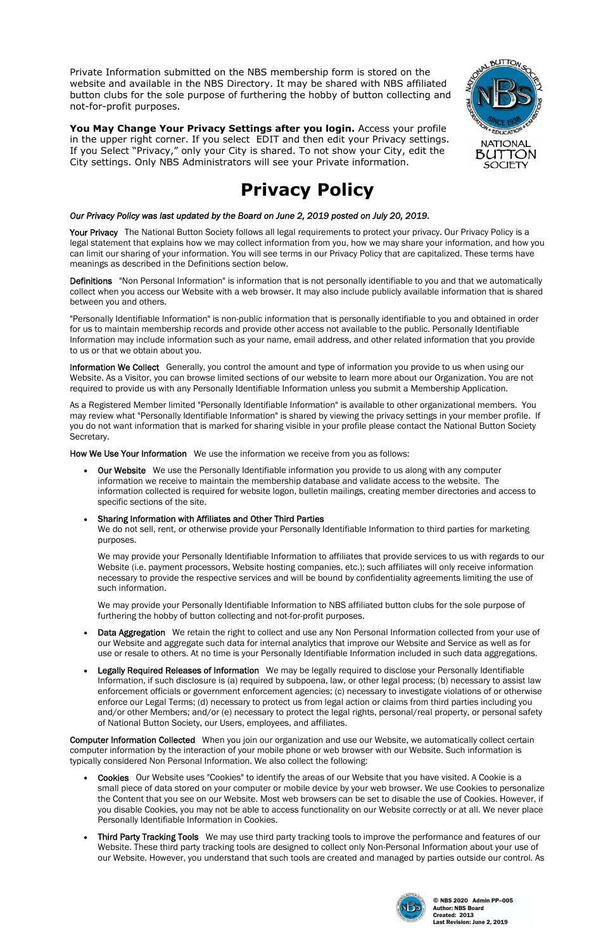© NBS 2020 Admin PP--005 Author: NBS Board Created: 2013 Last Revision: June 2, 2019

Private Information submitted on the NBS membership form is stored on the website and available in the NBS Directory. It may be shared with NBS affiliated button clubs for the sole purpose of furthering the hobby of button collecting and not-for-profit purposes.

**You May Change Your Privacy Settings after you login.** Access your profile in the upper right corner. If you select EDIT and then edit your Privacy settings. If you Select "Privacy," only your City is shared. To not show your City, edit the City settings. Only NBS Administrators will see your Private information.

Your Privacy The National Button Society follows all legal requirements to protect your privacy. Our Privacy Policy is a legal statement that explains how we may collect information from you, how we may share your information, and how you can limit our sharing of your information. You will see terms in our Privacy Policy that are capitalized. These terms have meanings as described in the Definitions section below.

# **Privacy Policy**

# *Our Privacy Policy was last updated by the Board on June 2, 2019 posted on July 20, 2019.*

Definitions "Non Personal Information" is information that is not personally identifiable to you and that we automatically collect when you access our Website with a web browser. It may also include publicly available information that is shared between you and others.

Information We Collect Generally, you control the amount and type of information you provide to us when using our Website. As a Visitor, you can browse limited sections of our website to learn more about our Organization. You are not required to provide us with any Personally Identifiable Information unless you submit a Membership Application.

"Personally Identifiable Information" is non-public information that is personally identifiable to you and obtained in order for us to maintain membership records and provide other access not available to the public. Personally Identifiable Information may include information such as your name, email address, and other related information that you provide to us or that we obtain about you.

- Data Aggregation We retain the right to collect and use any Non Personal Information collected from your use of our Website and aggregate such data for internal analytics that improve our Website and Service as well as for use or resale to others. At no time is your Personally Identifiable Information included in such data aggregations.
- Legally Required Releases of Information We may be legally required to disclose your Personally Identifiable Information, if such disclosure is (a) required by subpoena, law, or other legal process; (b) necessary to assist law enforcement officials or government enforcement agencies; (c) necessary to investigate violations of or otherwise enforce our Legal Terms; (d) necessary to protect us from legal action or claims from third parties including you and/or other Members; and/or (e) necessary to protect the legal rights, personal/real property, or personal safety of National Button Society, our Users, employees, and affiliates.



As a Registered Member limited "Personally Identifiable Information" is available to other organizational members. You may review what "Personally Identifiable Information" is shared by viewing the privacy settings in your member profile. If you do not want information that is marked for sharing visible in your profile please contact the National Button Society Secretary.

How We Use Your Information We use the information we receive from you as follows:

 Our Website We use the Personally Identifiable information you provide to us along with any computer information we receive to maintain the membership database and validate access to the website. The information collected is required for website logon, bulletin mailings, creating member directories and access to specific sections of the site.

### Sharing Information with Affiliates and Other Third Parties

We do not sell, rent, or otherwise provide your Personally Identifiable Information to third parties for marketing purposes.

We may provide your Personally Identifiable Information to affiliates that provide services to us with regards to our Website (i.e. payment processors, Website hosting companies, etc.); such affiliates will only receive information necessary to provide the respective services and will be bound by confidentiality agreements limiting the use of such information.

We may provide your Personally Identifiable Information to NBS affiliated button clubs for the sole purpose of furthering the hobby of button collecting and not-for-profit purposes.

Computer Information Collected When you join our organization and use our Website, we automatically collect certain computer information by the interaction of your mobile phone or web browser with our Website. Such information is typically considered Non Personal Information. We also collect the following:

- Cookies Our Website uses "Cookies" to identify the areas of our Website that you have visited. A Cookie is a small piece of data stored on your computer or mobile device by your web browser. We use Cookies to personalize the Content that you see on our Website. Most web browsers can be set to disable the use of Cookies. However, if you disable Cookies, you may not be able to access functionality on our Website correctly or at all. We never place Personally Identifiable Information in Cookies.
- Third Party Tracking Tools We may use third party tracking tools to improve the performance and features of our Website. These third party tracking tools are designed to collect only Non-Personal Information about your use of our Website. However, you understand that such tools are created and managed by parties outside our control. As